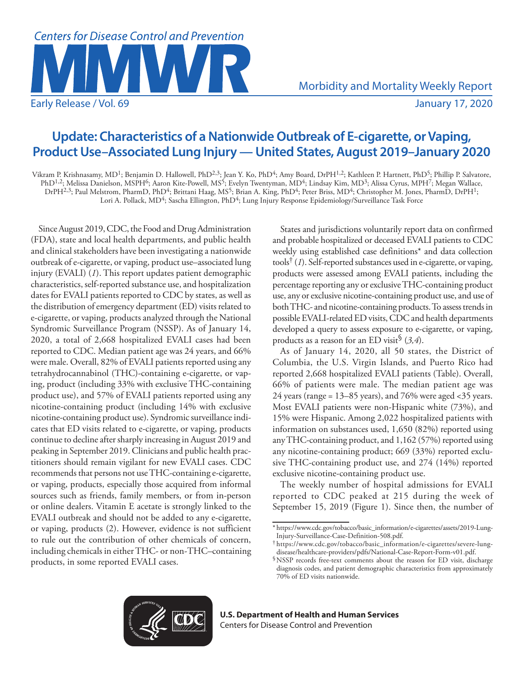

# **Update: Characteristics of a Nationwide Outbreak of E-cigarette, or Vaping, Product Use–Associated Lung Injury — United States, August 2019–January 2020**

Vikram P. Krishnasamy, MD<sup>1</sup>; Benjamin D. Hallowell, PhD<sup>2,3</sup>; Jean Y. Ko, PhD<sup>4</sup>; Amy Board, DrPH<sup>1,2</sup>; Kathleen P. Hartnett, PhD<sup>5</sup>; Phillip P. Salvatore, PhD<sup>1,2</sup>; Melissa Danielson, MSPH<sup>6</sup>; Aaron Kite-Powell, MS<sup>5</sup>; Evelyn Twentyman, MD<sup>4</sup>; Lindsay Kim, MD<sup>3</sup>; Alissa Cyrus, MPH<sup>7</sup>; Megan Wallace, DrPH<sup>2,3</sup>; Paul Melstrom, PharmD, PhD<sup>4</sup>; Brittani Haag, MS<sup>5</sup>; Brian A. King, PhD<sup>4</sup>; Peter Briss, MD<sup>4</sup>; Christopher M. Jones, PharmD, DrPH<sup>1</sup>; Lori A. Pollack, MD<sup>4</sup>; Sascha Ellington, PhD<sup>4</sup>; Lung Injury Response Epidemiology/Surveillance Task Force

Since August 2019, CDC, the Food and Drug Administration (FDA), state and local health departments, and public health and clinical stakeholders have been investigating a nationwide outbreak of e-cigarette, or vaping, product use–associated lung injury (EVALI) (*1*). This report updates patient demographic characteristics, self-reported substance use, and hospitalization dates for EVALI patients reported to CDC by states, as well as the distribution of emergency department (ED) visits related to e-cigarette, or vaping, products analyzed through the National Syndromic Surveillance Program (NSSP). As of January 14, 2020, a total of 2,668 hospitalized EVALI cases had been reported to CDC. Median patient age was 24 years, and 66% were male. Overall, 82% of EVALI patients reported using any tetrahydrocannabinol (THC)-containing e-cigarette, or vaping, product (including 33% with exclusive THC-containing product use), and 57% of EVALI patients reported using any nicotine-containing product (including 14% with exclusive nicotine-containing product use). Syndromic surveillance indicates that ED visits related to e-cigarette, or vaping, products continue to decline after sharply increasing in August 2019 and peaking in September 2019. Clinicians and public health practitioners should remain vigilant for new EVALI cases. CDC recommends that persons not use THC-containing e-cigarette, or vaping, products, especially those acquired from informal sources such as friends, family members, or from in-person or online dealers. Vitamin E acetate is strongly linked to the EVALI outbreak and should not be added to any e-cigarette, or vaping, products (2). However, evidence is not sufficient to rule out the contribution of other chemicals of concern, including chemicals in either THC- or non-THC–containing products, in some reported EVALI cases.

States and jurisdictions voluntarily report data on confirmed and probable hospitalized or deceased EVALI patients to CDC weekly using established case definitions\* and data collection tools† (*1*). Self-reported substances used in e-cigarette, or vaping, products were assessed among EVALI patients, including the percentage reporting any or exclusive THC-containing product use, any or exclusive nicotine-containing product use, and use of both THC- and nicotine-containing products. To assess trends in possible EVALI-related ED visits, CDC and health departments developed a query to assess exposure to e-cigarette, or vaping, products as a reason for an ED visit§ (*3,4*).

As of January 14, 2020, all 50 states, the District of Columbia, the U.S. Virgin Islands, and Puerto Rico had reported 2,668 hospitalized EVALI patients (Table). Overall, 66% of patients were male. The median patient age was 24 years (range = 13–85 years), and 76% were aged <35 years. Most EVALI patients were non-Hispanic white (73%), and 15% were Hispanic. Among 2,022 hospitalized patients with information on substances used, 1,650 (82%) reported using any THC-containing product, and 1,162 (57%) reported using any nicotine-containing product; 669 (33%) reported exclusive THC-containing product use, and 274 (14%) reported exclusive nicotine-containing product use.

The weekly number of hospital admissions for EVALI reported to CDC peaked at 215 during the week of September 15, 2019 (Figure 1). Since then, the number of



<sup>\*</sup> [https://www.cdc.gov/tobacco/basic\\_information/e-cigarettes/assets/2019-Lung-](https://www.cdc.gov/tobacco/basic_information/e-cigarettes/assets/2019-Lung-Injury-Surveillance-Case-Definition-508.pdf)

 $\dagger$ [https://www.cdc.gov/tobacco/basic\\_information/e-cigarettes/severe-lung-](https://www.cdc.gov/tobacco/basic_information/e-cigarettes/severe-lung-disease/healthcare-providers/pdfs/National-Case-Report-Form-v01.pdf)

[disease/healthcare-providers/pdfs/National-Case-Report-Form-v01.pdf.](https://www.cdc.gov/tobacco/basic_information/e-cigarettes/severe-lung-disease/healthcare-providers/pdfs/National-Case-Report-Form-v01.pdf) §NSSP records free-text comments about the reason for ED visit, discharge diagnosis codes, and patient demographic characteristics from approximately 70% of ED visits nationwide.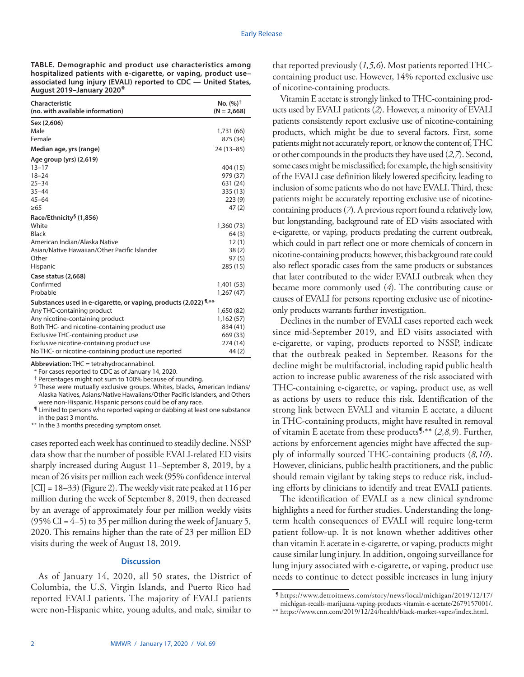**TABLE. Demographic and product use characteristics among hospitalized patients with e-cigarette, or vaping, product use– associated lung injury (EVALI) reported to CDC — United States, August 2019–January 2020\***

| Characteristic<br>(no. with available information)               | No. $(%)^{\dagger}$<br>$(N = 2.668)$ |
|------------------------------------------------------------------|--------------------------------------|
| Sex (2,606)                                                      |                                      |
| Male                                                             | 1,731 (66)                           |
| Female                                                           | 875 (34)                             |
| Median age, yrs (range)                                          | 24 (13-85)                           |
| Age group (yrs) (2,619)                                          |                                      |
| $13 - 17$                                                        | 404 (15)                             |
| $18 - 24$                                                        | 979 (37)                             |
| $25 - 34$                                                        | 631 (24)                             |
| $35 - 44$                                                        | 335 (13)                             |
| $45 - 64$                                                        | 223(9)                               |
| >65                                                              | 47(2)                                |
| Race/Ethnicity <sup>§</sup> (1,856)                              |                                      |
| White                                                            | 1,360 (73)                           |
| <b>Black</b>                                                     | 64(3)                                |
| American Indian/Alaska Native                                    | 12(1)                                |
| Asian/Native Hawaiian/Other Pacific Islander                     | 38(2)                                |
| Other                                                            | 97(5)                                |
| Hispanic                                                         | 285 (15)                             |
| Case status (2,668)                                              |                                      |
| Confirmed                                                        | 1,401 (53)                           |
| Probable                                                         | 1,267(47)                            |
| Substances used in e-cigarette, or vaping, products (2,022) 1,** |                                      |
| Any THC-containing product                                       | 1,650(82)                            |
| Any nicotine-containing product                                  | 1,162(57)                            |
| Both THC- and nicotine-containing product use                    | 834 (41)                             |
| Exclusive THC-containing product use                             | 669 (33)                             |
| Exclusive nicotine-containing product use                        | 274 (14)                             |
| No THC- or nicotine-containing product use reported              | 44 (2)                               |

**Abbreviation:** THC = tetrahydrocannabinol.

\* For cases reported to CDC as of January 14, 2020.

† Percentages might not sum to 100% because of rounding.

§ These were mutually exclusive groups. Whites, blacks, American Indians/ Alaska Natives, Asians/Native Hawaiians/Other Pacific Islanders, and Others were non-Hispanic. Hispanic persons could be of any race.

¶ Limited to persons who reported vaping or dabbing at least one substance in the past 3 months.

\*\* In the 3 months preceding symptom onset.

cases reported each week has continued to steadily decline. NSSP data show that the number of possible EVALI-related ED visits sharply increased during August 11–September 8, 2019, by a mean of 26 visits per million each week (95% confidence interval [CI] = 18–33) (Figure 2). The weekly visit rate peaked at 116 per million during the week of September 8, 2019, then decreased by an average of approximately four per million weekly visits  $(95\% \text{ CI} = 4-5)$  to 35 per million during the week of January 5, 2020. This remains higher than the rate of 23 per million ED visits during the week of August 18, 2019.

## **Discussion**

As of January 14, 2020, all 50 states, the District of Columbia, the U.S. Virgin Islands, and Puerto Rico had reported EVALI patients. The majority of EVALI patients were non-Hispanic white, young adults, and male, similar to

that reported previously (*1,5,6*). Most patients reported THCcontaining product use. However, 14% reported exclusive use of nicotine-containing products.

Vitamin E acetate is strongly linked to THC-containing products used by EVALI patients (*2*). However, a minority of EVALI patients consistently report exclusive use of nicotine-containing products, which might be due to several factors. First, some patients might not accurately report, or know the content of, THC or other compounds in the products they have used (*2,7*). Second, some cases might be misclassified; for example, the high sensitivity of the EVALI case definition likely lowered specificity, leading to inclusion of some patients who do not have EVALI. Third, these patients might be accurately reporting exclusive use of nicotinecontaining products (*7*). A previous report found a relatively low, but longstanding, background rate of ED visits associated with e-cigarette, or vaping, products predating the current outbreak, which could in part reflect one or more chemicals of concern in nicotine-containing products; however, this background rate could also reflect sporadic cases from the same products or substances that later contributed to the wider EVALI outbreak when they became more commonly used (*4*). The contributing cause or causes of EVALI for persons reporting exclusive use of nicotineonly products warrants further investigation.

Declines in the number of EVALI cases reported each week since mid-September 2019, and ED visits associated with e-cigarette, or vaping, products reported to NSSP, indicate that the outbreak peaked in September. Reasons for the decline might be multifactorial, including rapid public health action to increase public awareness of the risk associated with THC-containing e-cigarette, or vaping, product use, as well as actions by users to reduce this risk. Identification of the strong link between EVALI and vitamin E acetate, a diluent in THC-containing products, might have resulted in removal of vitamin E acetate from these products¶, \*\* (*2,8,9*). Further, actions by enforcement agencies might have affected the supply of informally sourced THC-containing products (*8,10*). However, clinicians, public health practitioners, and the public should remain vigilant by taking steps to reduce risk, including efforts by clinicians to identify and treat EVALI patients.

The identification of EVALI as a new clinical syndrome highlights a need for further studies. Understanding the longterm health consequences of EVALI will require long-term patient follow-up. It is not known whether additives other than vitamin E acetate in e-cigarette, or vaping, products might cause similar lung injury. In addition, ongoing surveillance for lung injury associated with e-cigarette, or vaping, product use needs to continue to detect possible increases in lung injury

\*\* [https://www.cnn.com/2019/12/24/health/black-market-vapes/index.html.](https://www.cnn.com/2019/12/24/health/black-market-vapes/index.html)

<sup>¶</sup> [https://www.detroitnews.com/story/news/local/michigan/2019/12/17/](https://www.detroitnews.com/story/news/local/michigan/2019/12/17/michigan-recalls-marijuana-vaping-products-vitamin-e-acetate/2679157001/) [michigan-recalls-marijuana-vaping-products-vitamin-e-acetate/2679157001/.](https://www.detroitnews.com/story/news/local/michigan/2019/12/17/michigan-recalls-marijuana-vaping-products-vitamin-e-acetate/2679157001/)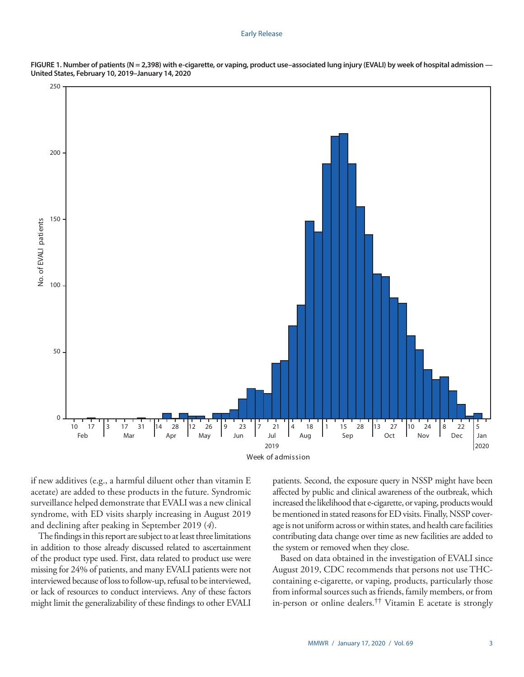#### Early Release



**FIGURE 1. Number of patients (N = 2,398) with e-cigarette, or vaping, product use–associated lung injury (EVALI) by week of hospital admission — United States, February 10, 2019–January 14, 2020**

if new additives (e.g., a harmful diluent other than vitamin E acetate) are added to these products in the future. Syndromic surveillance helped demonstrate that EVALI was a new clinical syndrome, with ED visits sharply increasing in August 2019 and declining after peaking in September 2019 (*4*).

The findings in this report are subject to at least three limitations in addition to those already discussed related to ascertainment of the product type used. First, data related to product use were missing for 24% of patients, and many EVALI patients were not interviewed because of loss to follow-up, refusal to be interviewed, or lack of resources to conduct interviews. Any of these factors might limit the generalizability of these findings to other EVALI patients. Second, the exposure query in NSSP might have been affected by public and clinical awareness of the outbreak, which increased the likelihood that e-cigarette, or vaping, products would be mentioned in stated reasons for ED visits. Finally, NSSP coverage is not uniform across or within states, and health care facilities contributing data change over time as new facilities are added to the system or removed when they close.

Based on data obtained in the investigation of EVALI since August 2019, CDC recommends that persons not use THCcontaining e-cigarette, or vaping, products, particularly those from informal sources such as friends, family members, or from in-person or online dealers.†† Vitamin E acetate is strongly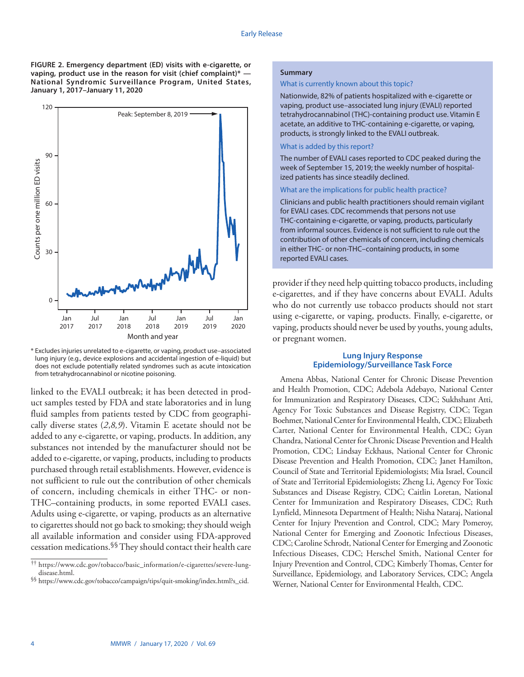**FIGURE 2. Emergency department (ED) visits with e-cigarette, or vaping, product use in the reason for visit (chief complaint)\* — National Syndromic Surveillance Program, United States, January 1, 2017–January 11, 2020**



\* Excludes injuries unrelated to e-cigarette, or vaping, product use–associated lung injury (e.g., device explosions and accidental ingestion of e-liquid) but does not exclude potentially related syndromes such as acute intoxication from tetrahydrocannabinol or nicotine poisoning.

linked to the EVALI outbreak; it has been detected in product samples tested by FDA and state laboratories and in lung fluid samples from patients tested by CDC from geographically diverse states (*2*,*8,9*). Vitamin E acetate should not be added to any e-cigarette, or vaping, products. In addition, any substances not intended by the manufacturer should not be added to e-cigarette, or vaping, products, including to products purchased through retail establishments. However, evidence is not sufficient to rule out the contribution of other chemicals of concern, including chemicals in either THC- or non-THC–containing products, in some reported EVALI cases. Adults using e-cigarette, or vaping, products as an alternative to cigarettes should not go back to smoking; they should weigh all available information and consider using FDA-approved cessation medications.§§ They should contact their health care

## **Summary**

## What is currently known about this topic?

Nationwide, 82% of patients hospitalized with e-cigarette or vaping, product use–associated lung injury (EVALI) reported tetrahydrocannabinol (THC)-containing product use. Vitamin E acetate, an additive to THC-containing e-cigarette, or vaping, products, is strongly linked to the EVALI outbreak.

## What is added by this report?

The number of EVALI cases reported to CDC peaked during the week of September 15, 2019; the weekly number of hospitalized patients has since steadily declined.

## What are the implications for public health practice?

Clinicians and public health practitioners should remain vigilant for EVALI cases. CDC recommends that persons not use THC-containing e-cigarette, or vaping, products, particularly from informal sources. Evidence is not sufficient to rule out the contribution of other chemicals of concern, including chemicals in either THC- or non-THC–containing products, in some reported EVALI cases.

provider if they need help quitting tobacco products, including e-cigarettes, and if they have concerns about EVALI. Adults who do not currently use tobacco products should not start using e-cigarette, or vaping, products. Finally, e-cigarette, or vaping, products should never be used by youths, young adults, or pregnant women.

## **Lung Injury Response Epidemiology/Surveillance Task Force**

Amena Abbas, National Center for Chronic Disease Prevention and Health Promotion, CDC; Adebola Adebayo, National Center for Immunization and Respiratory Diseases, CDC; Sukhshant Atti, Agency For Toxic Substances and Disease Registry, CDC; Tegan Boehmer, National Center for Environmental Health, CDC; Elizabeth Carter, National Center for Environmental Health, CDC; Gyan Chandra, National Center for Chronic Disease Prevention and Health Promotion, CDC; Lindsay Eckhaus, National Center for Chronic Disease Prevention and Health Promotion, CDC; Janet Hamilton, Council of State and Territorial Epidemiologists; Mia Israel, Council of State and Territorial Epidemiologists; Zheng Li, Agency For Toxic Substances and Disease Registry, CDC; Caitlin Loretan, National Center for Immunization and Respiratory Diseases, CDC; Ruth Lynfield, Minnesota Department of Health; Nisha Nataraj, National Center for Injury Prevention and Control, CDC; Mary Pomeroy, National Center for Emerging and Zoonotic Infectious Diseases, CDC; Caroline Schrodt, National Center for Emerging and Zoonotic Infectious Diseases, CDC; Herschel Smith, National Center for Injury Prevention and Control, CDC; Kimberly Thomas, Center for Surveillance, Epidemiology, and Laboratory Services, CDC; Angela Werner, National Center for Environmental Health, CDC.

<sup>††</sup> [https://www.cdc.gov/tobacco/basic\\_information/e-cigarettes/severe-lung](https://www.cdc.gov/tobacco/basic_information/e-cigarettes/severe-lung-disease.html)[disease.html](https://www.cdc.gov/tobacco/basic_information/e-cigarettes/severe-lung-disease.html).<br>§§ [https://www.cdc.gov/tobacco/campaign/tips/quit-smoking/index.html?s\\_cid.](https://www.cdc.gov/tobacco/campaign/tips/quit-smoking/index.html?s_cid)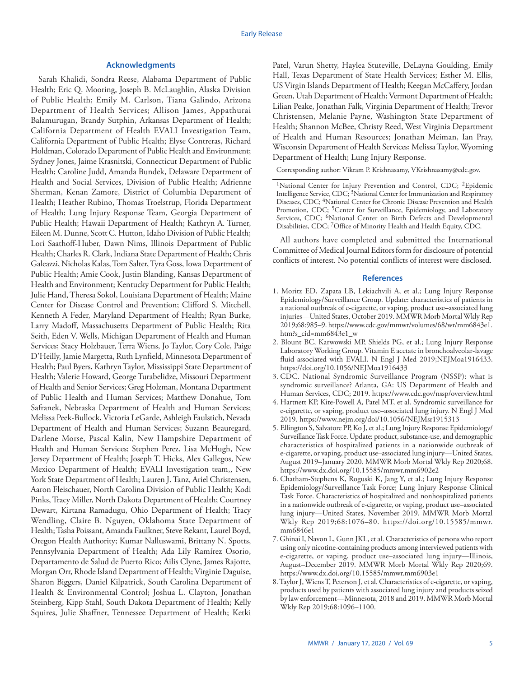## **Acknowledgments**

Sarah Khalidi, Sondra Reese, Alabama Department of Public Health; Eric Q. Mooring, Joseph B. McLaughlin, Alaska Division of Public Health; Emily M. Carlson, Tiana Galindo, Arizona Department of Health Services; Allison James, Appathurai Balamurugan, Brandy Sutphin, Arkansas Department of Health; California Department of Health EVALI Investigation Team, California Department of Public Health; Elyse Contreras, Richard Holdman, Colorado Department of Public Health and Environment; Sydney Jones, Jaime Krasnitski, Connecticut Department of Public Health; Caroline Judd, Amanda Bundek, Delaware Department of Health and Social Services, Division of Public Health; Adrienne Sherman, Kenan Zamore, District of Columbia Department of Health; Heather Rubino, Thomas Troelstrup, Florida Department of Health; Lung Injury Response Team, Georgia Department of Public Health; Hawaii Department of Health; Kathryn A. Turner, Eileen M. Dunne, Scott C. Hutton, Idaho Division of Public Health; Lori Saathoff-Huber, Dawn Nims, Illinois Department of Public Health; Charles R. Clark, Indiana State Department of Health; Chris Galeazzi, Nicholas Kalas, Tom Salter, Tyra Goss, Iowa Department of Public Health; Amie Cook, Justin Blanding, Kansas Department of Health and Environment; Kentucky Department for Public Health; Julie Hand, Theresa Sokol, Louisiana Department of Health; Maine Center for Disease Control and Prevention; Clifford S. Mitchell, Kenneth A Feder, Maryland Department of Health; Ryan Burke, Larry Madoff, Massachusetts Department of Public Health; Rita Seith, Eden V. Wells, Michigan Department of Health and Human Services; Stacy Holzbauer, Terra Wiens, Jo Taylor, Cory Cole, Paige D'Heilly, Jamie Margetta, Ruth Lynfield, Minnesota Department of Health; Paul Byers, Kathryn Taylor, Mississippi State Department of Health; Valerie Howard, George Turabelidze, Missouri Department of Health and Senior Services; Greg Holzman, Montana Department of Public Health and Human Services; Matthew Donahue, Tom Safranek, Nebraska Department of Health and Human Services; Melissa Peek-Bullock, Victoria LeGarde, Ashleigh Faulstich, Nevada Department of Health and Human Services; Suzann Beauregard, Darlene Morse, Pascal Kalin, New Hampshire Department of Health and Human Services; Stephen Perez, Lisa McHugh, New Jersey Department of Health; Joseph T. Hicks, Alex Gallegos, New Mexico Department of Health; EVALI Investigation team,, New York State Department of Health; Lauren J. Tanz, Ariel Christensen, Aaron Fleischauer, North Carolina Division of Public Health; Kodi Pinks, Tracy Miller, North Dakota Department of Health; Courtney Dewart, Kirtana Ramadugu, Ohio Department of Health; Tracy Wendling, Claire B. Nguyen, Oklahoma State Department of Health; Tasha Poissant, Amanda Faulkner, Steve Rekant, Laurel Boyd, Oregon Health Authority; Kumar Nalluswami, Brittany N. Spotts, Pennsylvania Department of Health; Ada Lily Ramírez Osorio, Departamento de Salud de Puerto Rico; Ailis Clyne, James Rajotte, Morgan Orr, Rhode Island Department of Health; Virginie Daguise, Sharon Biggers, Daniel Kilpatrick, South Carolina Department of Health & Environmental Control; Joshua L. Clayton, Jonathan Steinberg, Kipp Stahl, South Dakota Department of Health; Kelly Squires, Julie Shaffner, Tennessee Department of Health; Ketki

Patel, Varun Shetty, Haylea Stuteville, DeLayna Goulding, Emily Hall, Texas Department of State Health Services; Esther M. Ellis, US Virgin Islands Department of Health; Keegan McCaffery, Jordan Green, Utah Department of Health; Vermont Department of Health; Lilian Peake, Jonathan Falk, Virginia Department of Health; Trevor Christensen, Melanie Payne, Washington State Department of Health; Shannon McBee, Christy Reed, West Virginia Department of Health and Human Resources; Jonathan Meiman, Ian Pray, Wisconsin Department of Health Services; Melissa Taylor, Wyoming Department of Health; Lung Injury Response.

Corresponding author: Vikram P. Krishnasamy, [VKrishnasamy@cdc.gov](mailto:VKrishnasamy@cdc.gov).

All authors have completed and submitted the International Committee of Medical Journal Editors form for disclosure of potential conflicts of interest. No potential conflicts of interest were disclosed.

## **References**

- 1. Moritz ED, Zapata LB, Lekiachvili A, et al.; Lung Injury Response Epidemiology/Surveillance Group. Update: characteristics of patients in a national outbreak of e-cigarette, or vaping, product use–associated lung injuries—United States, October 2019. MMWR Morb Mortal Wkly Rep 2019;68:985–9. [https://www.cdc.gov/mmwr/volumes/68/wr/mm6843e1.](https://www.cdc.gov/mmwr/volumes/68/wr/mm6843e1.htm?s_cid=mm6843e1_w) [htm?s\\_cid=mm6843e1\\_w](https://www.cdc.gov/mmwr/volumes/68/wr/mm6843e1.htm?s_cid=mm6843e1_w)
- 2. Blount BC, Karwowski MP, Shields PG, et al.; Lung Injury Response Laboratory Working Group. Vitamin E acetate in bronchoalveolar-lavage fluid associated with EVALI. N Engl J Med 2019;NEJMoa1916433. <https://doi.org/10.1056/NEJMoa1916433>
- 3. CDC. National Syndromic Surveillance Program (NSSP): what is syndromic surveillance? Atlanta, GA: US Department of Health and Human Services, CDC; 2019. <https://www.cdc.gov/nssp/overview.html>
- 4. Hartnett KP, Kite-Powell A, Patel MT, et al. Syndromic surveillance for e-cigarette, or vaping, product use–associated lung injury. N Engl J Med 2019.<https://www.nejm.org/doi/10.1056/NEJMsr1915313>
- 5. Ellington S, Salvatore PP, Ko J, et al.; Lung Injury Response Epidemiology/ Surveillance Task Force. Update: product, substance-use, and demographic characteristics of hospitalized patients in a nationwide outbreak of e-cigarette, or vaping, product use–associated lung injury—United States, August 2019–January 2020. MMWR Morb Mortal Wkly Rep 2020;68. <https://www.dx.doi.org/10.15585/mmwr.mm6902e2>
- 6. Chatham-Stephens K, Roguski K, Jang Y, et al.; Lung Injury Response Epidemiology/Surveillance Task Force; Lung Injury Response Clinical Task Force. Characteristics of hospitalized and nonhospitalized patients in a nationwide outbreak of e-cigarette, or vaping, product use–associated lung injury—United States, November 2019. MMWR Morb Mortal Wkly Rep 2019;68:1076–80. [https://doi.org/10.15585/mmwr.](https://doi.org/10.15585/mmwr.mm6846e1) [mm6846e1](https://doi.org/10.15585/mmwr.mm6846e1)
- 7. Ghinai I, Navon L, Gunn JKL, et al. Characteristics of persons who report using only nicotine-containing products among interviewed patients with e-cigarette, or vaping, product use–associated lung injury—Illinois, August–December 2019. MMWR Morb Mortal Wkly Rep 2020;69. <https://www.dx.doi.org/10.15585/mmwr.mm6903e1>
- 8. Taylor J, Wiens T, Peterson J, et al. Characteristics of e-cigarette, or vaping, products used by patients with associated lung injury and products seized by law enforcement—Minnesota, 2018 and 2019. MMWR Morb Mortal Wkly Rep 2019;68:1096–1100.

<sup>&</sup>lt;sup>1</sup>National Center for Injury Prevention and Control, CDC; <sup>2</sup>Epidemic Intelligence Service, CDC; 3National Center for Immunization and Respiratory Diseases, CDC; <sup>4</sup>National Center for Chronic Disease Prevention and Health Promotion, CDC; <sup>5</sup>Center for Surveillance, Epidemiology, and Laboratory Services, CDC; 6National Center on Birth Defects and Developmental Disabilities, CDC; 7Office of Minority Health and Health Equity, CDC.